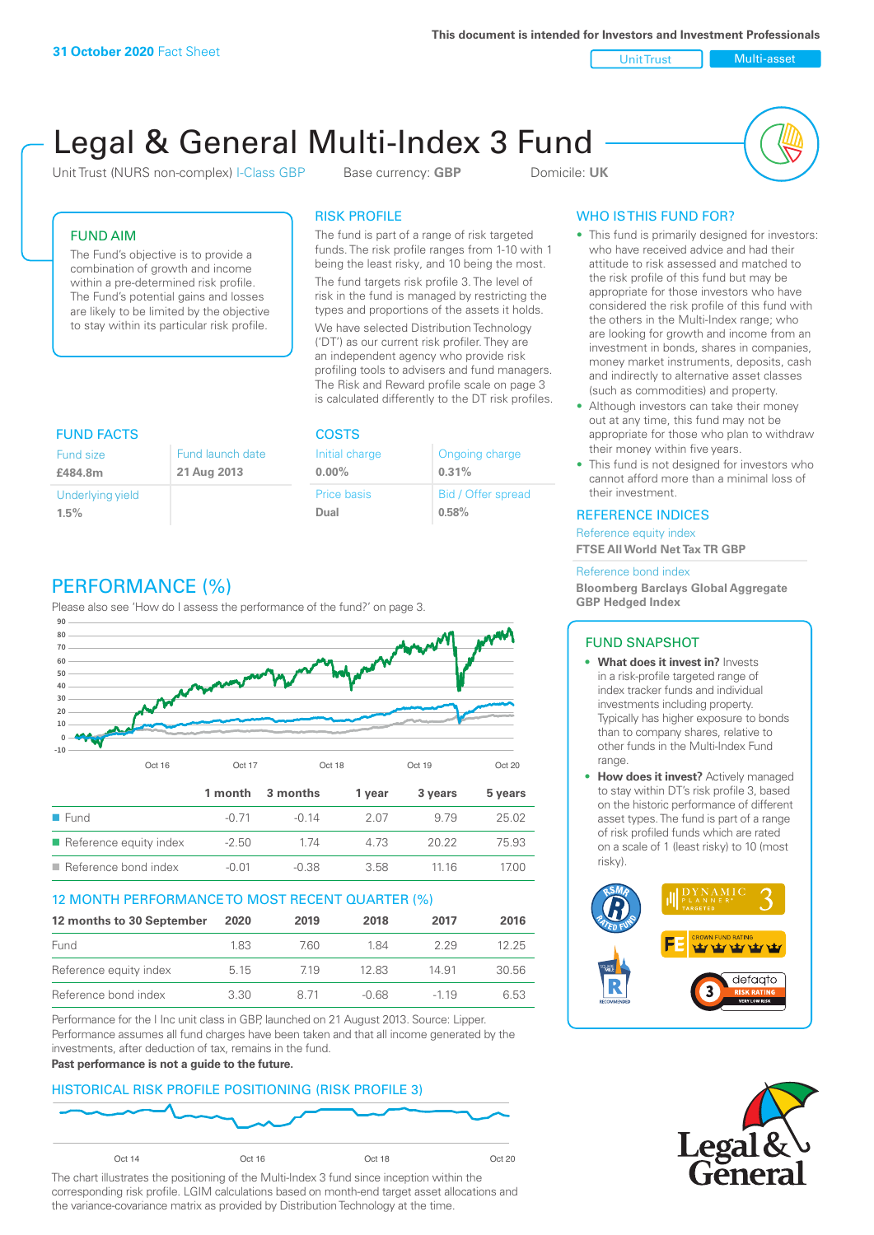Unit Trust Nulti-asset

# Legal & General Multi-Index 3 Fund

Unit Trust (NURS non-complex) I-Class GBP Base currency: **GBP** Domicile: UK



# FUND AIM

The Fund's objective is to provide a combination of growth and income within a pre-determined risk profile. The Fund's potential gains and losses are likely to be limited by the objective to stay within its particular risk profile.

# RISK PROFILE

The fund is part of a range of risk targeted funds. The risk profile ranges from 1-10 with 1 being the least risky, and 10 being the most.

The fund targets risk profile 3. The level of risk in the fund is managed by restricting the types and proportions of the assets it holds. We have selected Distribution Technology ('DT') as our current risk profiler. They are an independent agency who provide risk profiling tools to advisers and fund managers. The Risk and Reward profile scale on page 3 is calculated differently to the DT risk profiles.

Ongoing charge

Bid / Offer spread

**0.31%**

**0.58%**

| <b>FUND FACTS</b> |                  | <b>COSTS</b>       |
|-------------------|------------------|--------------------|
| <b>Fund size</b>  | Fund launch date | Initial charge     |
| £484.8m           | 21 Aug 2013      | $0.00\%$           |
| Underlying yield  |                  | <b>Price basis</b> |
| 1.5%              |                  | Dual               |
|                   |                  |                    |

# PERFORMANCE (%)

Please also see 'How do I assess the performance of the fund?' on page 3.



## 12 MONTH PERFORMANCE TO MOST RECENT QUARTER (%)

| 12 months to 30 September | 2020 | 2019 | 2018    | 2017   | 2016  |
|---------------------------|------|------|---------|--------|-------|
| Fund                      | 183  | 760  | 184     | 229    | 12.25 |
| Reference equity index    | 5.15 | 719  | 12.83   | 14.91  | 30.56 |
| Reference bond index      | 3.30 | 8.71 | $-0.68$ | $-119$ | 6.53  |

Performance for the I Inc unit class in GBP, launched on 21 August 2013. Source: Lipper. Performance assumes all fund charges have been taken and that all income generated by the investments, after deduction of tax, remains in the fund.

#### **Past performance is not a guide to the future.**

## HISTORICAL RISK PROFILE POSITIONING (RISK PROFILE 3)



The chart illustrates the positioning of the Multi-Index 3 fund since inception within the corresponding risk profile. LGIM calculations based on month-end target asset allocations and the variance-covariance matrix as provided by Distribution Technology at the time.

# WHO IS THIS FUND FOR?

- This fund is primarily designed for investors: who have received advice and had their attitude to risk assessed and matched to the risk profile of this fund but may be appropriate for those investors who have considered the risk profile of this fund with the others in the Multi-Index range; who are looking for growth and income from an investment in bonds, shares in companies, money market instruments, deposits, cash and indirectly to alternative asset classes (such as commodities) and property.
- Although investors can take their money out at any time, this fund may not be appropriate for those who plan to withdraw their money within five years.
- This fund is not designed for investors who cannot afford more than a minimal loss of their investment.

### REFERENCE INDICES

Reference equity index **FTSE All World Net Tax TR GBP**

#### Reference bond index

**Bloomberg Barclays Global Aggregate GBP Hedged Index**

## FUND SNAPSHOT

- **• What does it invest in?** Invests in a risk-profile targeted range of index tracker funds and individual investments including property. Typically has higher exposure to bonds than to company shares, relative to other funds in the Multi-Index Fund range.
- **• How does it invest?** Actively managed to stay within DT's risk profile 3, based on the historic performance of different asset types. The fund is part of a range of risk profiled funds which are rated on a scale of 1 (least risky) to 10 (most risky).



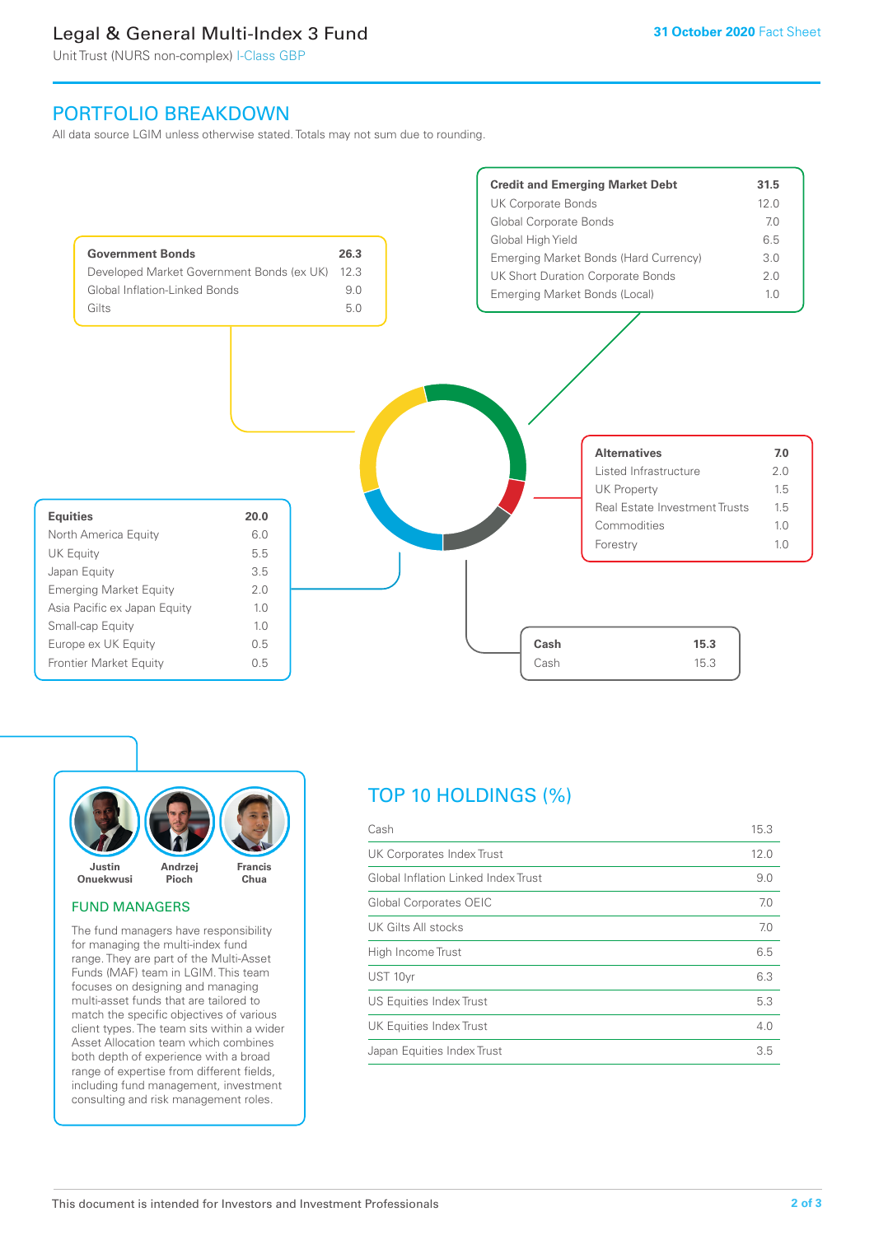# Legal & General Multi-Index 3 Fund

Unit Trust (NURS non-complex) I-Class GBP

# PORTFOLIO BREAKDOWN

All data source LGIM unless otherwise stated. Totals may not sum due to rounding.





### FUND MANAGERS

The fund managers have responsibility for managing the multi-index fund range. They are part of the Multi-Asset Funds (MAF) team in LGIM. This team focuses on designing and managing multi-asset funds that are tailored to match the specific objectives of various client types. The team sits within a wider Asset Allocation team which combines both depth of experience with a broad range of expertise from different fields, including fund management, investment consulting and risk management roles.

# TOP 10 HOLDINGS (%)

| Cash                                | 15.3 |
|-------------------------------------|------|
| UK Corporates Index Trust           | 12.0 |
| Global Inflation Linked Index Trust | 9.0  |
| Global Corporates OEIC              | 7.0  |
| UK Gilts All stocks                 | 7.0  |
| High Income Trust                   | 6.5  |
| UST 10yr                            | 6.3  |
| US Equities Index Trust             | 5.3  |
| UK Equities Index Trust             | 4.0  |
| Japan Equities Index Trust          | 3.5  |